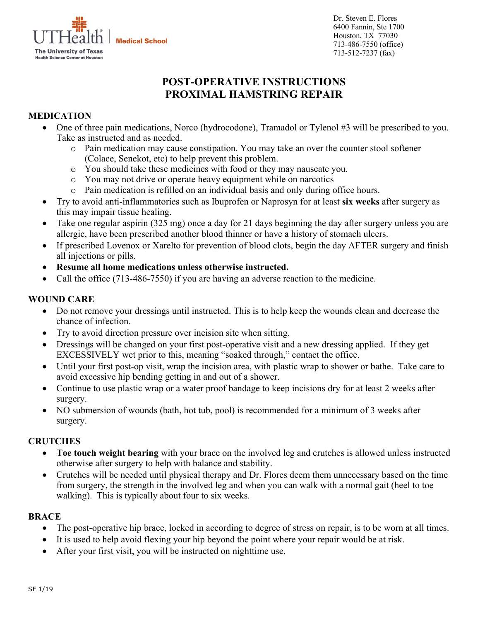**The University of Texas Health Science Center at Houston**  Dr. Steven E. Flores 6400 Fannin, Ste 1700 Houston, TX 77030 713-486-7550 (office) 713-512-7237 (fax)

# **POST-OPERATIVE INSTRUCTIONS PROXIMAL HAMSTRING REPAIR**

# **MEDICATION**

- One of three pain medications, Norco (hydrocodone), Tramadol or Tylenol #3 will be prescribed to you. Take as instructed and as needed.
	- o Pain medication may cause constipation. You may take an over the counter stool softener (Colace, Senekot, etc) to help prevent this problem.
	- o You should take these medicines with food or they may nauseate you.
	- o You may not drive or operate heavy equipment while on narcotics
	- o Pain medication is refilled on an individual basis and only during office hours.
- Try to avoid anti-inflammatories such as Ibuprofen or Naprosyn for at least **six weeks** after surgery as this may impair tissue healing.
- Take one regular aspirin (325 mg) once a day for 21 days beginning the day after surgery unless you are allergic, have been prescribed another blood thinner or have a history of stomach ulcers.
- If prescribed Lovenox or Xarelto for prevention of blood clots, begin the day AFTER surgery and finish all injections or pills.
- **Resume all home medications unless otherwise instructed.**
- Call the office (713-486-7550) if you are having an adverse reaction to the medicine.

#### **WOUND CARE**

- Do not remove your dressings until instructed. This is to help keep the wounds clean and decrease the chance of infection.
- Try to avoid direction pressure over incision site when sitting.
- Dressings will be changed on your first post-operative visit and a new dressing applied. If they get EXCESSIVELY wet prior to this, meaning "soaked through," contact the office.
- Until your first post-op visit, wrap the incision area, with plastic wrap to shower or bathe. Take care to avoid excessive hip bending getting in and out of a shower.
- Continue to use plastic wrap or a water proof bandage to keep incisions dry for at least 2 weeks after surgery.
- NO submersion of wounds (bath, hot tub, pool) is recommended for a minimum of 3 weeks after surgery.

#### **CRUTCHES**

- **Toe touch weight bearing** with your brace on the involved leg and crutches is allowed unless instructed otherwise after surgery to help with balance and stability.
- Crutches will be needed until physical therapy and Dr. Flores deem them unnecessary based on the time from surgery, the strength in the involved leg and when you can walk with a normal gait (heel to toe walking). This is typically about four to six weeks.

#### **BRACE**

- The post-operative hip brace, locked in according to degree of stress on repair, is to be worn at all times.
- It is used to help avoid flexing your hip beyond the point where your repair would be at risk.
- After your first visit, you will be instructed on nighttime use.